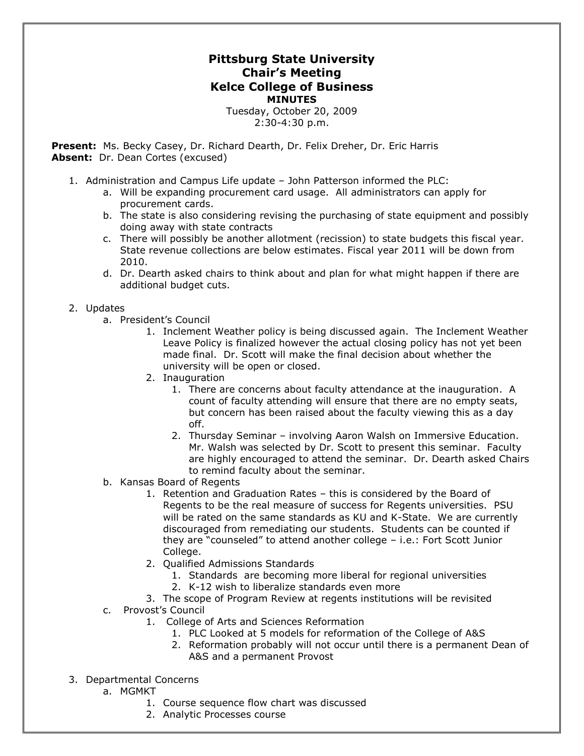## **Pittsburg State University Chair's Meeting Kelce College of Business MINUTES**

Tuesday, October 20, 2009 2:30-4:30 p.m.

**Present:** Ms. Becky Casey, Dr. Richard Dearth, Dr. Felix Dreher, Dr. Eric Harris Absent: Dr. Dean Cortes (excused)

- 1. Administration and Campus Life update John Patterson informed the PLC:
	- a. Will be expanding procurement card usage. All administrators can apply for procurement cards.
	- b. The state is also considering revising the purchasing of state equipment and possibly doing away with state contracts
	- c. There will possibly be another allotment (recission) to state budgets this fiscal year. State revenue collections are below estimates. Fiscal year 2011 will be down from 2010.
	- d. Dr. Dearth asked chairs to think about and plan for what might happen if there are additional budget cuts.

## 2. Updates

- a. President's Council
	- 1. Inclement Weather policy is being discussed again. The Inclement Weather Leave Policy is finalized however the actual closing policy has not yet been made final. Dr. Scott will make the final decision about whether the university will be open or closed.
	- 2. Inauguration
		- 1. There are concerns about faculty attendance at the inauguration. A count of faculty attending will ensure that there are no empty seats, but concern has been raised about the faculty viewing this as a day off.
		- 2. Thursday Seminar involving Aaron Walsh on Immersive Education. Mr. Walsh was selected by Dr. Scott to present this seminar. Faculty are highly encouraged to attend the seminar. Dr. Dearth asked Chairs to remind faculty about the seminar.
- b. Kansas Board of Regents
	- 1. Retention and Graduation Rates this is considered by the Board of Regents to be the real measure of success for Regents universities. PSU will be rated on the same standards as KU and K-State. We are currently discouraged from remediating our students. Students can be counted if they are "counseled" to attend another college – i.e.: Fort Scott Junior College.
	- 2. Qualified Admissions Standards
		- 1. Standards are becoming more liberal for regional universities
		- 2. K-12 wish to liberalize standards even more
	- 3. The scope of Program Review at regents institutions will be revisited
- c. Provost's Council
	- 1. College of Arts and Sciences Reformation
		- 1. PLC Looked at 5 models for reformation of the College of A&S
		- 2. Reformation probably will not occur until there is a permanent Dean of A&S and a permanent Provost
- 3. Departmental Concerns
	- a. MGMKT
		- 1. Course sequence flow chart was discussed
		- 2. Analytic Processes course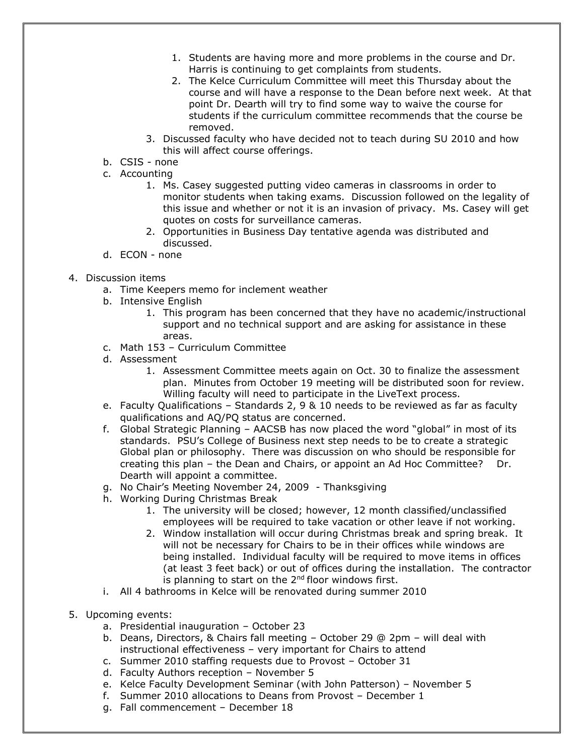- 1. Students are having more and more problems in the course and Dr. Harris is continuing to get complaints from students.
- 2. The Kelce Curriculum Committee will meet this Thursday about the course and will have a response to the Dean before next week. At that point Dr. Dearth will try to find some way to waive the course for students if the curriculum committee recommends that the course be removed.
- 3. Discussed faculty who have decided not to teach during SU 2010 and how this will affect course offerings.
- b. CSIS none
- c. Accounting
	- 1. Ms. Casey suggested putting video cameras in classrooms in order to monitor students when taking exams. Discussion followed on the legality of this issue and whether or not it is an invasion of privacy. Ms. Casey will get quotes on costs for surveillance cameras.
	- 2. Opportunities in Business Day tentative agenda was distributed and discussed.
- d. ECON none
- 4. Discussion items
	- a. Time Keepers memo for inclement weather
	- b. Intensive English
		- 1. This program has been concerned that they have no academic/instructional support and no technical support and are asking for assistance in these areas.
	- c. Math 153 Curriculum Committee
	- d. Assessment
		- 1. Assessment Committee meets again on Oct. 30 to finalize the assessment plan. Minutes from October 19 meeting will be distributed soon for review. Willing faculty will need to participate in the LiveText process.
	- e. Faculty Qualifications Standards 2, 9 & 10 needs to be reviewed as far as faculty qualifications and AQ/PQ status are concerned.
	- f. Global Strategic Planning AACSB has now placed the word "global" in most of its standards. PSU's College of Business next step needs to be to create a strategic Global plan or philosophy. There was discussion on who should be responsible for creating this plan – the Dean and Chairs, or appoint an Ad Hoc Committee? Dr. Dearth will appoint a committee.
	- g. No Chair's Meeting November 24, 2009 Thanksgiving
	- h. Working During Christmas Break
		- 1. The university will be closed; however, 12 month classified/unclassified employees will be required to take vacation or other leave if not working.
		- 2. Window installation will occur during Christmas break and spring break. It will not be necessary for Chairs to be in their offices while windows are being installed. Individual faculty will be required to move items in offices (at least 3 feet back) or out of offices during the installation. The contractor is planning to start on the  $2<sup>nd</sup>$  floor windows first.
	- i. All 4 bathrooms in Kelce will be renovated during summer 2010
- 5. Upcoming events:
	- a. Presidential inauguration October 23
	- b. Deans, Directors, & Chairs fall meeting October 29 @ 2pm will deal with instructional effectiveness – very important for Chairs to attend
	- c. Summer 2010 staffing requests due to Provost October 31
	- d. Faculty Authors reception November 5
	- e. Kelce Faculty Development Seminar (with John Patterson) November 5
	- f. Summer 2010 allocations to Deans from Provost December 1
	- g. Fall commencement December 18